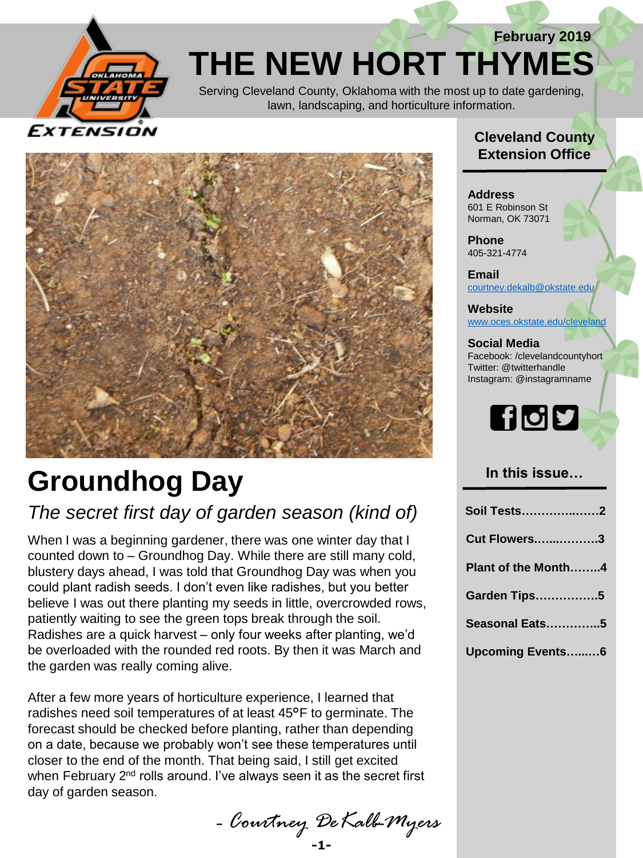

## **February 2019 THE NEW HORT THYMES**

Serving Cleveland County, Oklahoma with the most up to date gardening, lawn, landscaping, and horticulture information.



# **Groundhog Day**

## *The secret first day of garden season (kind of)*

When I was a beginning gardener, there was one winter day that I counted down to – Groundhog Day. While there are still many cold, blustery days ahead, I was told that Groundhog Day was when you could plant radish seeds. I don't even like radishes, but you better believe I was out there planting my seeds in little, overcrowded rows, patiently waiting to see the green tops break through the soil. Radishes are a quick harvest – only four weeks after planting, we'd be overloaded with the rounded red roots. By then it was March and the garden was really coming alive.

After a few more years of horticulture experience, I learned that radishes need soil temperatures of at least 45°F to germinate. The forecast should be checked before planting, rather than depending on a date, because we probably won't see these temperatures until closer to the end of the month. That being said, I still get excited when February 2<sup>nd</sup> rolls around. I've always seen it as the secret first day of garden season.

**-1-** *- Courtney DeKalb-Myers*

## **Cleveland County Extension Office**

**Address** 601 E Robinson St Norman, OK 73071

**Phone** 405-321-4774

**Email** [courtney.dekalb@okstate.edu](mailto:courtney.dekalb@okstate.edu)

**Website** [www.oces.okstate.edu/cleveland](http://www.oces.okstate.edu/cleveland)

**Social Media** Facebook: /clevelandcountyhort Twitter: @twitterhandle Instagram: @instagramname



## **In this issue…**

| Soil Tests2             |  |
|-------------------------|--|
| <b>Cut Flowers3</b>     |  |
| Plant of the Month4     |  |
| <b>Garden Tips5</b>     |  |
| Seasonal Eats5          |  |
| <b>Upcoming Events6</b> |  |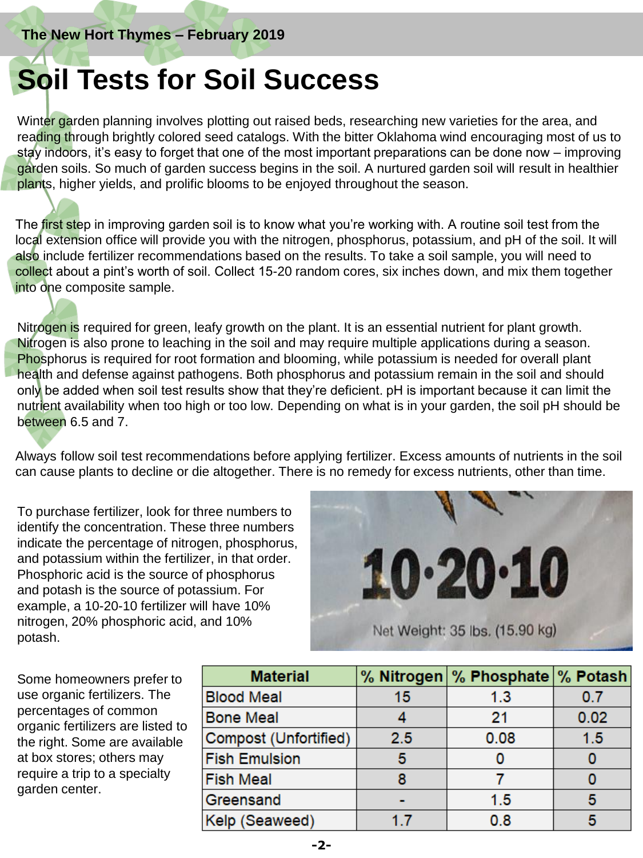# **Soil Tests for Soil Success**

Winter garden planning involves plotting out raised beds, researching new varieties for the area, and reading through brightly colored seed catalogs. With the bitter Oklahoma wind encouraging most of us to stay indoors, it's easy to forget that one of the most important preparations can be done now – improving garden soils. So much of garden success begins in the soil. A nurtured garden soil will result in healthier plants, higher yields, and prolific blooms to be enjoyed throughout the season.

The first step in improving garden soil is to know what you're working with. A routine soil test from the local extension office will provide you with the nitrogen, phosphorus, potassium, and pH of the soil. It will also include fertilizer recommendations based on the results. To take a soil sample, you will need to collect about a pint's worth of soil. Collect 15-20 random cores, six inches down, and mix them together into one composite sample.

Nitrogen is required for green, leafy growth on the plant. It is an essential nutrient for plant growth. Nitrogen is also prone to leaching in the soil and may require multiple applications during a season. Phosphorus is required for root formation and blooming, while potassium is needed for overall plant health and defense against pathogens. Both phosphorus and potassium remain in the soil and should only be added when soil test results show that they're deficient. pH is important because it can limit the nutrient availability when too high or too low. Depending on what is in your garden, the soil pH should be between 6.5 and 7.

Always follow soil test recommendations before applying fertilizer. Excess amounts of nutrients in the soil can cause plants to decline or die altogether. There is no remedy for excess nutrients, other than time.

To purchase fertilizer, look for three numbers to identify the concentration. These three numbers indicate the percentage of nitrogen, phosphorus, and potassium within the fertilizer, in that order. Phosphoric acid is the source of phosphorus and potash is the source of potassium. For example, a 10-20-10 fertilizer will have 10% nitrogen, 20% phosphoric acid, and 10% potash.



Some homeowners prefer to use organic fertilizers. The percentages of common organic fertilizers are listed to the right. Some are available at box stores; others may require a trip to a specialty garden center.

| <b>Material</b>       |     | % Nitrogen   % Phosphate   % Potash |      |
|-----------------------|-----|-------------------------------------|------|
| <b>Blood Meal</b>     | 15  | 1.3                                 | 0.7  |
| <b>Bone Meal</b>      |     | 21                                  | 0.02 |
| Compost (Unfortified) | 2.5 | 0.08                                | 1.5  |
| <b>Fish Emulsion</b>  | 5   |                                     |      |
| <b>Fish Meal</b>      |     |                                     |      |
| Greensand             |     | 1.5                                 |      |
| Kelp (Seaweed)        | 17  | 0.8                                 |      |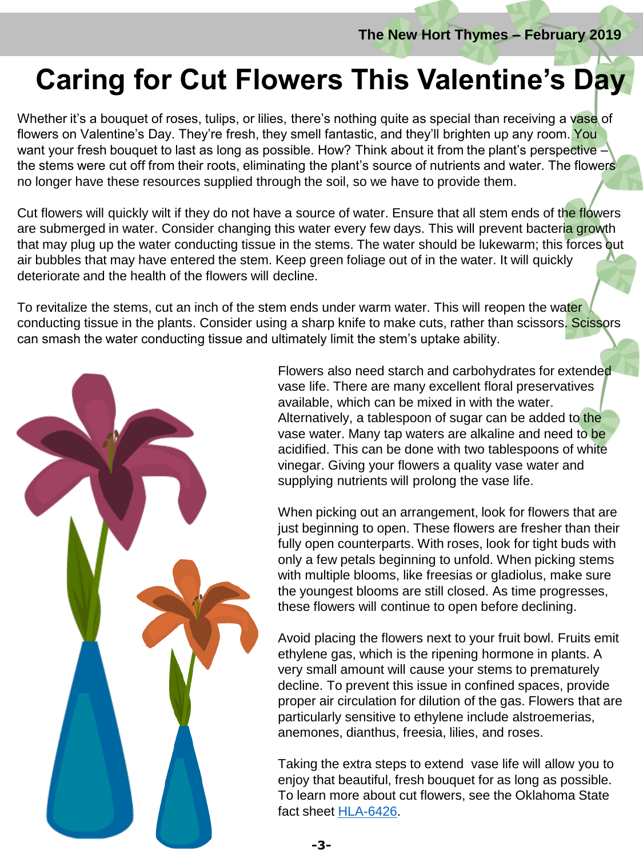# **Caring for Cut Flowers This Valentine's Day**

Whether it's a bouquet of roses, tulips, or lilies, there's nothing quite as special than receiving a vase of flowers on Valentine's Day. They're fresh, they smell fantastic, and they'll brighten up any room. You want your fresh bouquet to last as long as possible. How? Think about it from the plant's perspective the stems were cut off from their roots, eliminating the plant's source of nutrients and water. The flowers no longer have these resources supplied through the soil, so we have to provide them.

Cut flowers will quickly wilt if they do not have a source of water. Ensure that all stem ends of the flowers are submerged in water. Consider changing this water every few days. This will prevent bacteria growth that may plug up the water conducting tissue in the stems. The water should be lukewarm; this forces out air bubbles that may have entered the stem. Keep green foliage out of in the water. It will quickly deteriorate and the health of the flowers will decline.

To revitalize the stems, cut an inch of the stem ends under warm water. This will reopen the water conducting tissue in the plants. Consider using a sharp knife to make cuts, rather than scissors. Scissors can smash the water conducting tissue and ultimately limit the stem's uptake ability.



Flowers also need starch and carbohydrates for extended vase life. There are many excellent floral preservatives available, which can be mixed in with the water. Alternatively, a tablespoon of sugar can be added to the vase water. Many tap waters are alkaline and need to be acidified. This can be done with two tablespoons of white vinegar. Giving your flowers a quality vase water and supplying nutrients will prolong the vase life.

When picking out an arrangement, look for flowers that are just beginning to open. These flowers are fresher than their fully open counterparts. With roses, look for tight buds with only a few petals beginning to unfold. When picking stems with multiple blooms, like freesias or gladiolus, make sure the youngest blooms are still closed. As time progresses, these flowers will continue to open before declining.

Avoid placing the flowers next to your fruit bowl. Fruits emit ethylene gas, which is the ripening hormone in plants. A very small amount will cause your stems to prematurely decline. To prevent this issue in confined spaces, provide proper air circulation for dilution of the gas. Flowers that are particularly sensitive to ethylene include alstroemerias, anemones, dianthus, freesia, lilies, and roses.

Taking the extra steps to extend vase life will allow you to enjoy that beautiful, fresh bouquet for as long as possible. To learn more about cut flowers, see the Oklahoma State fact sheet [HLA-6426.](http://factsheets.okstate.edu/documents/hla-6426-the-care-and-handling-of-cut-flowers/)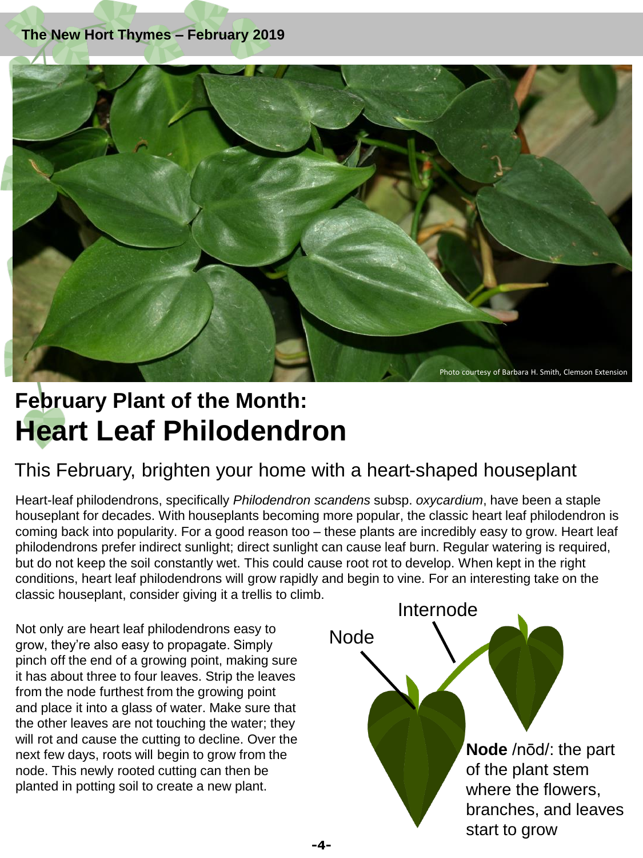### **The New Hort Thymes – February 2019**



## **February Plant of the Month: Heart Leaf Philodendron**

## This February, brighten your home with a heart-shaped houseplant

Heart-leaf philodendrons, specifically *Philodendron scandens* subsp. *oxycardium*, have been a staple houseplant for decades. With houseplants becoming more popular, the classic heart leaf philodendron is coming back into popularity. For a good reason too – these plants are incredibly easy to grow. Heart leaf philodendrons prefer indirect sunlight; direct sunlight can cause leaf burn. Regular watering is required, but do not keep the soil constantly wet. This could cause root rot to develop. When kept in the right conditions, heart leaf philodendrons will grow rapidly and begin to vine. For an interesting take on the classic houseplant, consider giving it a trellis to climb.

Not only are heart leaf philodendrons easy to grow, they're also easy to propagate. Simply pinch off the end of a growing point, making sure it has about three to four leaves. Strip the leaves from the node furthest from the growing point and place it into a glass of water. Make sure that the other leaves are not touching the water; they will rot and cause the cutting to decline. Over the next few days, roots will begin to grow from the node. This newly rooted cutting can then be planted in potting soil to create a new plant.



**-4-**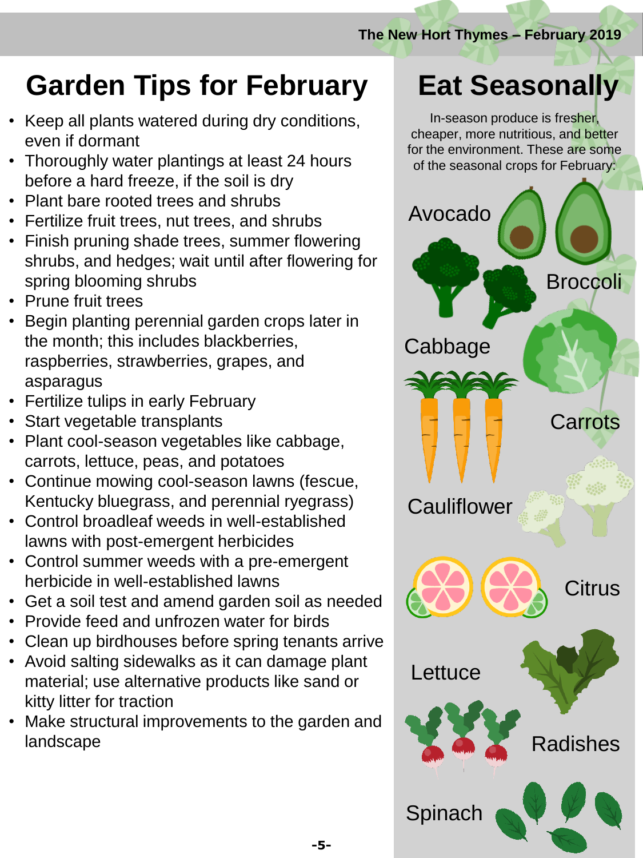**The New Hort Thymes – February 2019**

## **Garden Tips for February**

- Keep all plants watered during dry conditions, even if dormant
- Thoroughly water plantings at least 24 hours before a hard freeze, if the soil is dry
- Plant bare rooted trees and shrubs
- Fertilize fruit trees, nut trees, and shrubs
- Finish pruning shade trees, summer flowering shrubs, and hedges; wait until after flowering for spring blooming shrubs
- Prune fruit trees
- Begin planting perennial garden crops later in the month; this includes blackberries, raspberries, strawberries, grapes, and asparagus
- Fertilize tulips in early February
- Start vegetable transplants
- Plant cool-season vegetables like cabbage, carrots, lettuce, peas, and potatoes
- Continue mowing cool-season lawns (fescue, Kentucky bluegrass, and perennial ryegrass)
- Control broadleaf weeds in well-established lawns with post-emergent herbicides
- Control summer weeds with a pre-emergent herbicide in well-established lawns
- Get a soil test and amend garden soil as needed
- Provide feed and unfrozen water for birds
- Clean up birdhouses before spring tenants arrive
- Avoid salting sidewalks as it can damage plant material; use alternative products like sand or kitty litter for traction
- Make structural improvements to the garden and landscape

**-5-**

# **Eat Seasonally**

In-season produce is fresher, cheaper, more nutritious, and better for the environment. These are some of the seasonal crops for February: